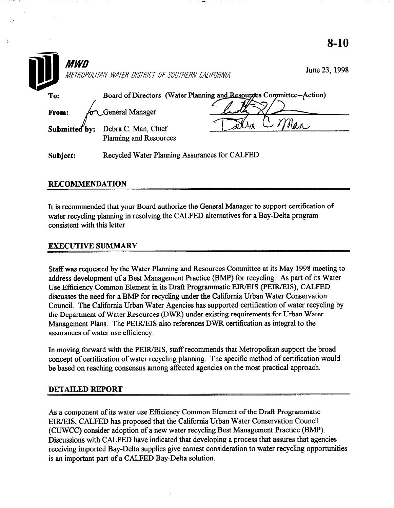| <i><b>MWD</b></i> | METROPOLITAN WATER DISTRICT OF SOUTHERN CALIFORNIA   |                                                                     | June 23, 1998 |
|-------------------|------------------------------------------------------|---------------------------------------------------------------------|---------------|
| To:               |                                                      | Board of Directors (Water Planning and Resources Committee--Action) |               |
| From:             | General Manager                                      |                                                                     |               |
| Submitted by:     | Debra C. Man, Chief<br><b>Planning and Resources</b> |                                                                     |               |
| Subject:          | Recycled Water Planning Assurances for CALFED        |                                                                     |               |

## RECOMMENDATION

It is recommended that your Board authorize the General Manager to support certification of water recycling planning in resolving the CALFED alternatives for a Bay-Delta program consistent with this letter.

## EXECUTIVE SUMMARY

Staff was requested by the Water Planning and Resources Committee at its May 1998 meeting to address development of a Best Management Practice (BMP) for recycling. As part of its Water Use Efficiency Common Element in its Draft Programmatic EIR/EIS (PEIR/EIS), CALFED discusses the need for a BMP for recycling under the California Urban Water Conservation Council. The California Urban Water Agencies has supported certification of water recycling by the Department of Water Resources (DWR) under existing requirements for Urban Water Management Plans. The PEIR/EIS also references DWR certification as integral to the assurances of water use efficiency.

In moving forward with the PEIR/EIS, staff recommends that Metropolitan support the broad concept of certification of water recycling planning. The specific method of certification would be based on reaching consensus among affected agencies on the most practical approach.

## DETAILED REPORT

As a component of its water use Efficiency Common Element of the Drafl Programmatic EIR/EIS, CALFED has proposed that the California Urban Water Conservation Council (CUWCC) consider adoption of a new water recycling Best Management Practice (BMP). Discussions with CALFED have indicated that developing a process that assures that agencies receiving imported Bay-Delta supplies give earnest consideration to water recycling opportunities is an important part of a CALFED Bay-Delta solution.